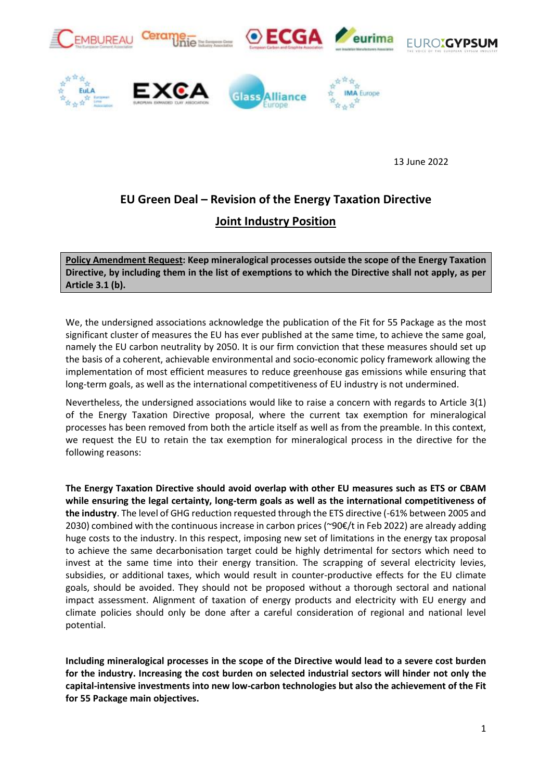

13 June 2022

# **EU Green Deal – Revision of the Energy Taxation Directive Joint Industry Position**

**Policy Amendment Request: Keep mineralogical processes outside the scope of the Energy Taxation Directive, by including them in the list of exemptions to which the Directive shall not apply, as per Article 3.1 (b).**

We, the undersigned associations acknowledge the publication of the Fit for 55 Package as the most significant cluster of measures the EU has ever published at the same time, to achieve the same goal, namely the EU carbon neutrality by 2050. It is our firm conviction that these measures should set up the basis of a coherent, achievable environmental and socio-economic policy framework allowing the implementation of most efficient measures to reduce greenhouse gas emissions while ensuring that long-term goals, as well as the international competitiveness of EU industry is not undermined.

Nevertheless, the undersigned associations would like to raise a concern with regards to Article 3(1) of the Energy Taxation Directive proposal, where the current tax exemption for mineralogical processes has been removed from both the article itself as well as from the preamble. In this context, we request the EU to retain the tax exemption for mineralogical process in the directive for the following reasons:

**The Energy Taxation Directive should avoid overlap with other EU measures such as ETS or CBAM while ensuring the legal certainty, long-term goals as well as the international competitiveness of the industry**. The level of GHG reduction requested through the ETS directive (-61% between 2005 and 2030) combined with the continuous increase in carbon prices (~90€/t in Feb 2022) are already adding huge costs to the industry. In this respect, imposing new set of limitations in the energy tax proposal to achieve the same decarbonisation target could be highly detrimental for sectors which need to invest at the same time into their energy transition. The scrapping of several electricity levies, subsidies, or additional taxes, which would result in counter-productive effects for the EU climate goals, should be avoided. They should not be proposed without a thorough sectoral and national impact assessment. Alignment of taxation of energy products and electricity with EU energy and climate policies should only be done after a careful consideration of regional and national level potential.

**Including mineralogical processes in the scope of the Directive would lead to a severe cost burden for the industry. Increasing the cost burden on selected industrial sectors will hinder not only the capital-intensive investments into new low-carbon technologies but also the achievement of the Fit for 55 Package main objectives.**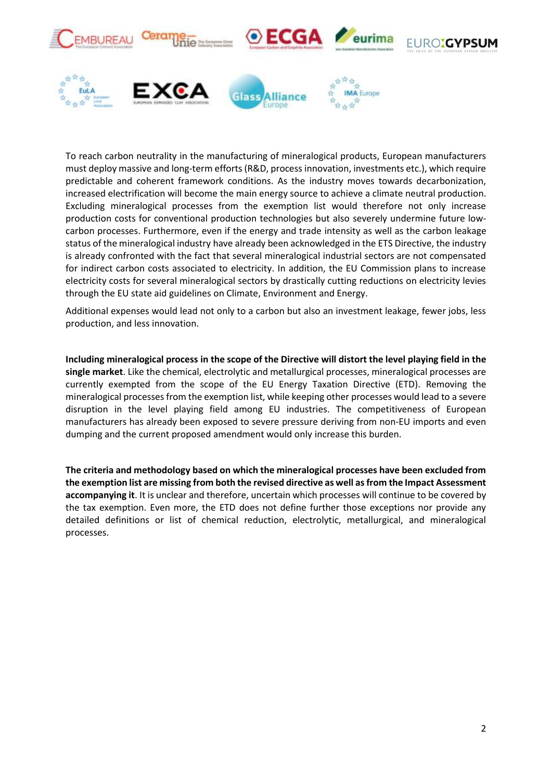

To reach carbon neutrality in the manufacturing of mineralogical products, European manufacturers must deploy massive and long-term efforts (R&D, process innovation, investments etc.), which require predictable and coherent framework conditions. As the industry moves towards decarbonization, increased electrification will become the main energy source to achieve a climate neutral production. Excluding mineralogical processes from the exemption list would therefore not only increase production costs for conventional production technologies but also severely undermine future lowcarbon processes. Furthermore, even if the energy and trade intensity as well as the carbon leakage status of the mineralogical industry have already been acknowledged in the ETS Directive, the industry is already confronted with the fact that several mineralogical industrial sectors are not compensated for indirect carbon costs associated to electricity. In addition, the EU Commission plans to increase electricity costs for several mineralogical sectors by drastically cutting reductions on electricity levies through the EU state aid guidelines on Climate, Environment and Energy.

Additional expenses would lead not only to a carbon but also an investment leakage, fewer jobs, less production, and less innovation.

**Including mineralogical process in the scope of the Directive will distort the level playing field in the single market**. Like the chemical, electrolytic and metallurgical processes, mineralogical processes are currently exempted from the scope of the EU Energy Taxation Directive (ETD). Removing the mineralogical processes from the exemption list, while keeping other processes would lead to a severe disruption in the level playing field among EU industries. The competitiveness of European manufacturers has already been exposed to severe pressure deriving from non-EU imports and even dumping and the current proposed amendment would only increase this burden.

**The criteria and methodology based on which the mineralogical processes have been excluded from the exemption list are missing from both the revised directive as well as from the Impact Assessment accompanying it**. It is unclear and therefore, uncertain which processes will continue to be covered by the tax exemption. Even more, the ETD does not define further those exceptions nor provide any detailed definitions or list of chemical reduction, electrolytic, metallurgical, and mineralogical processes.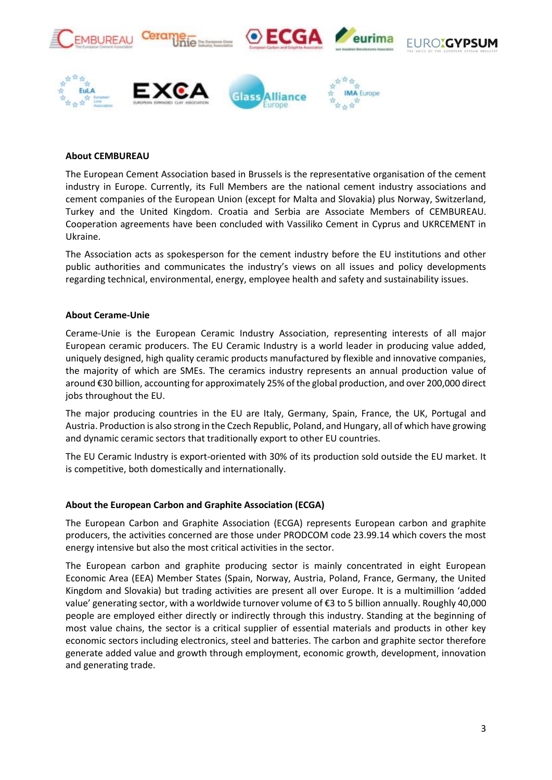

# **About CEMBUREAU**

The European Cement Association based in Brussels is the representative organisation of the cement industry in Europe. Currently, its Full Members are the national cement industry associations and cement companies of the European Union (except for Malta and Slovakia) plus Norway, Switzerland, Turkey and the United Kingdom. Croatia and Serbia are Associate Members of CEMBUREAU. Cooperation agreements have been concluded with Vassiliko Cement in Cyprus and UKRCEMENT in Ukraine.

The Association acts as spokesperson for the cement industry before the EU institutions and other public authorities and communicates the industry's views on all issues and policy developments regarding technical, environmental, energy, employee health and safety and sustainability issues.

# **About Cerame-Unie**

Cerame-Unie is the European Ceramic Industry Association, representing interests of all major European ceramic producers. The EU Ceramic Industry is a world leader in producing value added, uniquely designed, high quality ceramic products manufactured by flexible and innovative companies, the majority of which are SMEs. The ceramics industry represents an annual production value of around €30 billion, accounting for approximately 25% of the global production, and over 200,000 direct jobs throughout the EU.

The major producing countries in the EU are Italy, Germany, Spain, France, the UK, Portugal and Austria. Production is also strong in the Czech Republic, Poland, and Hungary, all of which have growing and dynamic ceramic sectors that traditionally export to other EU countries.

The EU Ceramic Industry is export-oriented with 30% of its production sold outside the EU market. It is competitive, both domestically and internationally.

### **About the European Carbon and Graphite Association (ECGA)**

The European Carbon and Graphite Association (ECGA) represents European carbon and graphite producers, the activities concerned are those under PRODCOM code 23.99.14 which covers the most energy intensive but also the most critical activities in the sector.

The European carbon and graphite producing sector is mainly concentrated in eight European Economic Area (EEA) Member States (Spain, Norway, Austria, Poland, France, Germany, the United Kingdom and Slovakia) but trading activities are present all over Europe. It is a multimillion 'added value' generating sector, with a worldwide turnover volume of €3 to 5 billion annually. Roughly 40,000 people are employed either directly or indirectly through this industry. Standing at the beginning of most value chains, the sector is a critical supplier of essential materials and products in other key economic sectors including electronics, steel and batteries. The carbon and graphite sector therefore generate added value and growth through employment, economic growth, development, innovation and generating trade.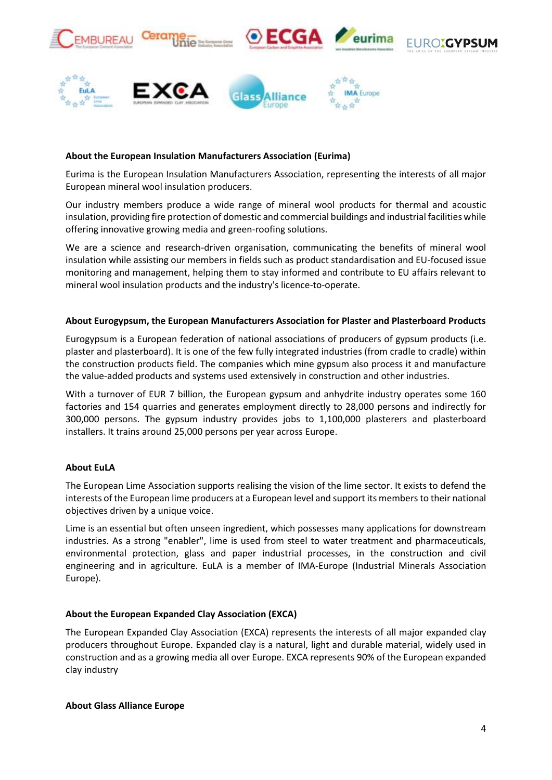

# **About the European Insulation Manufacturers Association (Eurima)**

Eurima is the European Insulation Manufacturers Association, representing the interests of all major European mineral wool insulation producers.

Our industry members produce a wide range of mineral wool products for thermal and acoustic insulation, providing fire protection of domestic and commercial buildings and industrial facilities while offering innovative growing media and green-roofing solutions.

We are a science and research-driven organisation, communicating the benefits of mineral wool insulation while assisting our members in fields such as product standardisation and EU-focused issue monitoring and management, helping them to stay informed and contribute to EU affairs relevant to mineral wool insulation products and the industry's licence-to-operate.

### **About Eurogypsum, the European Manufacturers Association for Plaster and Plasterboard Products**

Eurogypsum is a European federation of national associations of producers of gypsum products (i.e. plaster and plasterboard). It is one of the few fully integrated industries (from cradle to cradle) within the construction products field. The companies which mine gypsum also process it and manufacture the value-added products and systems used extensively in construction and other industries.

With a turnover of EUR 7 billion, the European gypsum and anhydrite industry operates some 160 factories and 154 quarries and generates employment directly to 28,000 persons and indirectly for 300,000 persons. The gypsum industry provides jobs to 1,100,000 plasterers and plasterboard installers. It trains around 25,000 persons per year across Europe.

# **About EuLA**

The European Lime Association supports realising the vision of the lime sector. It exists to defend the interests of the European lime producers at a European level and support its members to their national objectives driven by a unique voice.

Lime is an essential but often unseen ingredient, which possesses many applications for downstream industries. As a strong "enabler", lime is used from steel to water treatment and pharmaceuticals, environmental protection, glass and paper industrial processes, in the construction and civil engineering and in agriculture. EuLA is a member of IMA-Europe (Industrial Minerals Association Europe).

### **About the European Expanded Clay Association (EXCA)**

The European Expanded Clay Association (EXCA) represents the interests of all major expanded clay producers throughout Europe. Expanded clay is a natural, light and durable material, widely used in construction and as a growing media all over Europe. EXCA represents 90% of the European expanded clay industry